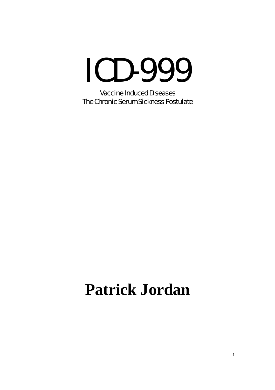## ICD-999

Vaccine Induced Diseases The Chronic Serum Sickness Postulate

## **Patrick Jordan**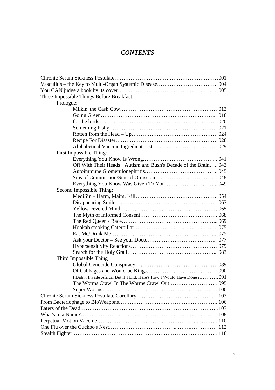## *CONTENTS*

| Three Impossible Things Before Breakfast                                 |
|--------------------------------------------------------------------------|
| Prologue:                                                                |
|                                                                          |
|                                                                          |
|                                                                          |
|                                                                          |
|                                                                          |
|                                                                          |
|                                                                          |
| First Impossible Thing:                                                  |
|                                                                          |
| Off With Their Heads! Autism and Bush's Decade of the Brain 043          |
|                                                                          |
|                                                                          |
|                                                                          |
| Second Impossible Thing:                                                 |
|                                                                          |
|                                                                          |
|                                                                          |
|                                                                          |
|                                                                          |
|                                                                          |
|                                                                          |
|                                                                          |
|                                                                          |
|                                                                          |
| Third Impossible Thing                                                   |
|                                                                          |
|                                                                          |
| I Didn't Invade Africa, But if I Did, Here's How I Would Have Done it091 |
|                                                                          |
|                                                                          |
| 103                                                                      |
|                                                                          |
|                                                                          |
|                                                                          |
|                                                                          |
|                                                                          |
|                                                                          |